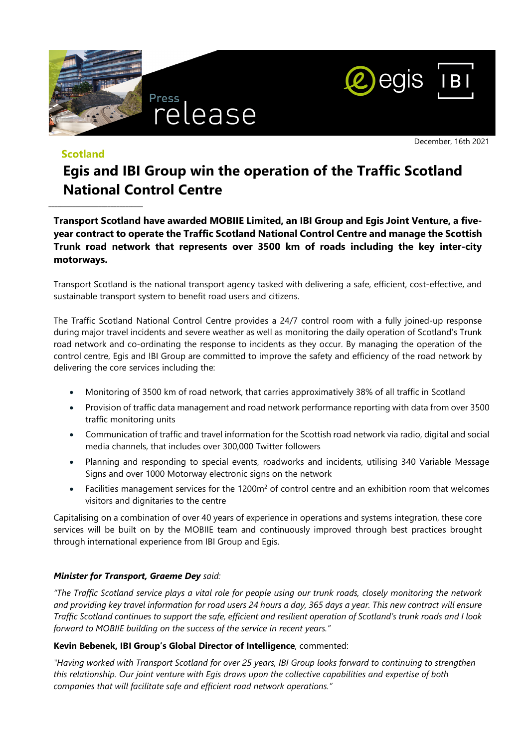



**Scotland**

\_\_\_\_\_\_\_\_\_\_\_\_\_\_\_\_\_\_\_\_\_\_\_\_\_\_\_\_\_\_\_\_

December, 16th 2021

# **Egis and IBI Group win the operation of the Traffic Scotland National Control Centre**

**Transport Scotland have awarded MOBIIE Limited, an IBI Group and Egis Joint Venture, a fiveyear contract to operate the Traffic Scotland National Control Centre and manage the Scottish Trunk road network that represents over 3500 km of roads including the key inter-city motorways.** 

Transport Scotland is the national transport agency tasked with delivering a safe, efficient, cost-effective, and sustainable transport system to benefit road users and citizens.

The Traffic Scotland National Control Centre provides a 24/7 control room with a fully joined-up response during major travel incidents and severe weather as well as monitoring the daily operation of Scotland's Trunk road network and co-ordinating the response to incidents as they occur. By managing the operation of the control centre, Egis and IBI Group are committed to improve the safety and efficiency of the road network by delivering the core services including the:

- Monitoring of 3500 km of road network, that carries approximatively 38% of all traffic in Scotland
- Provision of traffic data management and road network performance reporting with data from over 3500 traffic monitoring units
- Communication of traffic and travel information for the Scottish road network via radio, digital and social media channels, that includes over 300,000 Twitter followers
- Planning and responding to special events, roadworks and incidents, utilising 340 Variable Message Signs and over 1000 Motorway electronic signs on the network
- Facilities management services for the  $1200m<sup>2</sup>$  of control centre and an exhibition room that welcomes visitors and dignitaries to the centre

Capitalising on a combination of over 40 years of experience in operations and systems integration, these core services will be built on by the MOBIIE team and continuously improved through best practices brought through international experience from IBI Group and Egis.

#### *Minister for Transport, Graeme Dey said:*

*"The Traffic Scotland service plays a vital role for people using our trunk roads, closely monitoring the network and providing key travel information for road users 24 hours a day, 365 days a year. This new contract will ensure Traffic Scotland continues to support the safe, efficient and resilient operation of Scotland's trunk roads and I look forward to MOBIIE building on the success of the service in recent years."* 

#### **Kevin Bebenek, IBI Group's Global Director of Intelligence**, commented:

*"Having worked with Transport Scotland for over 25 years, IBI Group looks forward to continuing to strengthen this relationship. Our joint venture with Egis draws upon the collective capabilities and expertise of both companies that will facilitate safe and efficient road network operations."*